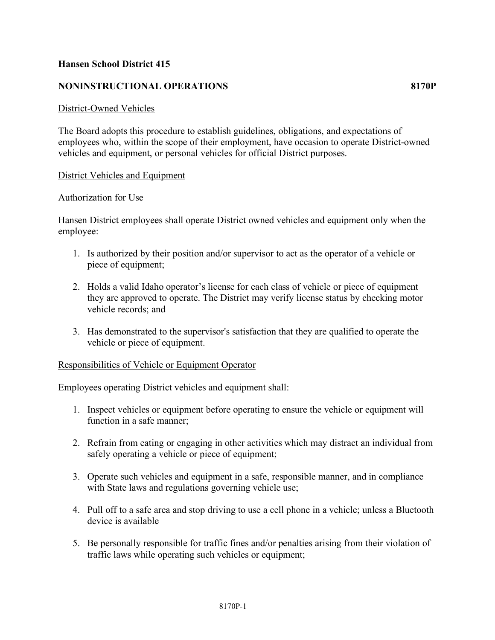## **Hansen School District 415**

## **NONINSTRUCTIONAL OPERATIONS 8170P**

### District-Owned Vehicles

The Board adopts this procedure to establish guidelines, obligations, and expectations of employees who, within the scope of their employment, have occasion to operate District-owned vehicles and equipment, or personal vehicles for official District purposes.

### **District Vehicles and Equipment**

### Authorization for Use

Hansen District employees shall operate District owned vehicles and equipment only when the employee:

- 1. Is authorized by their position and/or supervisor to act as the operator of a vehicle or piece of equipment;
- 2. Holds a valid Idaho operator's license for each class of vehicle or piece of equipment they are approved to operate. The District may verify license status by checking motor vehicle records; and
- 3. Has demonstrated to the supervisor's satisfaction that they are qualified to operate the vehicle or piece of equipment.

### Responsibilities of Vehicle or Equipment Operator

Employees operating District vehicles and equipment shall:

- 1. Inspect vehicles or equipment before operating to ensure the vehicle or equipment will function in a safe manner;
- 2. Refrain from eating or engaging in other activities which may distract an individual from safely operating a vehicle or piece of equipment;
- 3. Operate such vehicles and equipment in a safe, responsible manner, and in compliance with State laws and regulations governing vehicle use;
- 4. Pull off to a safe area and stop driving to use a cell phone in a vehicle; unless a Bluetooth device is available
- 5. Be personally responsible for traffic fines and/or penalties arising from their violation of traffic laws while operating such vehicles or equipment;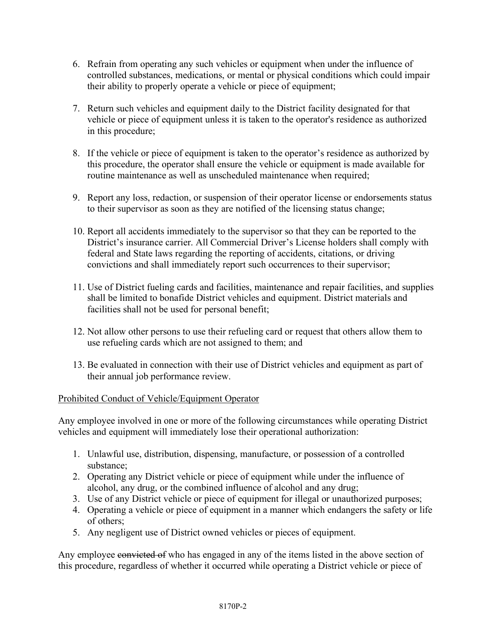- 6. Refrain from operating any such vehicles or equipment when under the influence of controlled substances, medications, or mental or physical conditions which could impair their ability to properly operate a vehicle or piece of equipment;
- 7. Return such vehicles and equipment daily to the District facility designated for that vehicle or piece of equipment unless it is taken to the operator's residence as authorized in this procedure;
- 8. If the vehicle or piece of equipment is taken to the operator's residence as authorized by this procedure, the operator shall ensure the vehicle or equipment is made available for routine maintenance as well as unscheduled maintenance when required;
- 9. Report any loss, redaction, or suspension of their operator license or endorsements status to their supervisor as soon as they are notified of the licensing status change;
- 10. Report all accidents immediately to the supervisor so that they can be reported to the District's insurance carrier. All Commercial Driver's License holders shall comply with federal and State laws regarding the reporting of accidents, citations, or driving convictions and shall immediately report such occurrences to their supervisor;
- 11. Use of District fueling cards and facilities, maintenance and repair facilities, and supplies shall be limited to bonafide District vehicles and equipment. District materials and facilities shall not be used for personal benefit;
- 12. Not allow other persons to use their refueling card or request that others allow them to use refueling cards which are not assigned to them; and
- 13. Be evaluated in connection with their use of District vehicles and equipment as part of their annual job performance review.

# Prohibited Conduct of Vehicle/Equipment Operator

Any employee involved in one or more of the following circumstances while operating District vehicles and equipment will immediately lose their operational authorization:

- 1. Unlawful use, distribution, dispensing, manufacture, or possession of a controlled substance;
- 2. Operating any District vehicle or piece of equipment while under the influence of alcohol, any drug, or the combined influence of alcohol and any drug;
- 3. Use of any District vehicle or piece of equipment for illegal or unauthorized purposes;
- 4. Operating a vehicle or piece of equipment in a manner which endangers the safety or life of others;
- 5. Any negligent use of District owned vehicles or pieces of equipment.

Any employee convicted of who has engaged in any of the items listed in the above section of this procedure, regardless of whether it occurred while operating a District vehicle or piece of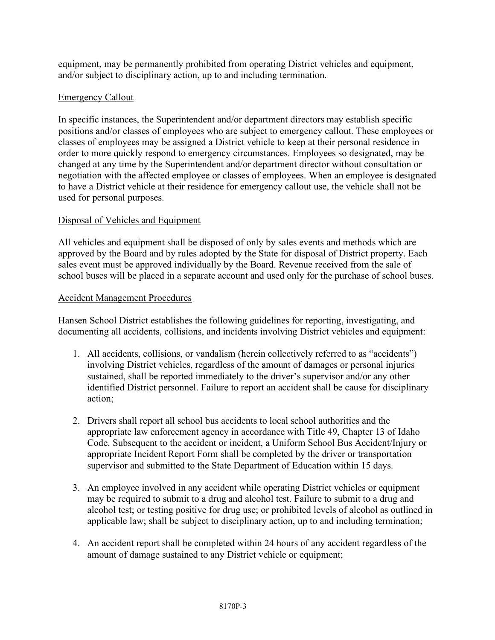equipment, may be permanently prohibited from operating District vehicles and equipment, and/or subject to disciplinary action, up to and including termination.

# Emergency Callout

In specific instances, the Superintendent and/or department directors may establish specific positions and/or classes of employees who are subject to emergency callout. These employees or classes of employees may be assigned a District vehicle to keep at their personal residence in order to more quickly respond to emergency circumstances. Employees so designated, may be changed at any time by the Superintendent and/or department director without consultation or negotiation with the affected employee or classes of employees. When an employee is designated to have a District vehicle at their residence for emergency callout use, the vehicle shall not be used for personal purposes.

# Disposal of Vehicles and Equipment

All vehicles and equipment shall be disposed of only by sales events and methods which are approved by the Board and by rules adopted by the State for disposal of District property. Each sales event must be approved individually by the Board. Revenue received from the sale of school buses will be placed in a separate account and used only for the purchase of school buses.

## Accident Management Procedures

Hansen School District establishes the following guidelines for reporting, investigating, and documenting all accidents, collisions, and incidents involving District vehicles and equipment:

- 1. All accidents, collisions, or vandalism (herein collectively referred to as "accidents") involving District vehicles, regardless of the amount of damages or personal injuries sustained, shall be reported immediately to the driver's supervisor and/or any other identified District personnel. Failure to report an accident shall be cause for disciplinary action;
- 2. Drivers shall report all school bus accidents to local school authorities and the appropriate law enforcement agency in accordance with Title 49, Chapter 13 of Idaho Code. Subsequent to the accident or incident, a Uniform School Bus Accident/Injury or appropriate Incident Report Form shall be completed by the driver or transportation supervisor and submitted to the State Department of Education within 15 days.
- 3. An employee involved in any accident while operating District vehicles or equipment may be required to submit to a drug and alcohol test. Failure to submit to a drug and alcohol test; or testing positive for drug use; or prohibited levels of alcohol as outlined in applicable law; shall be subject to disciplinary action, up to and including termination;
- 4. An accident report shall be completed within 24 hours of any accident regardless of the amount of damage sustained to any District vehicle or equipment;